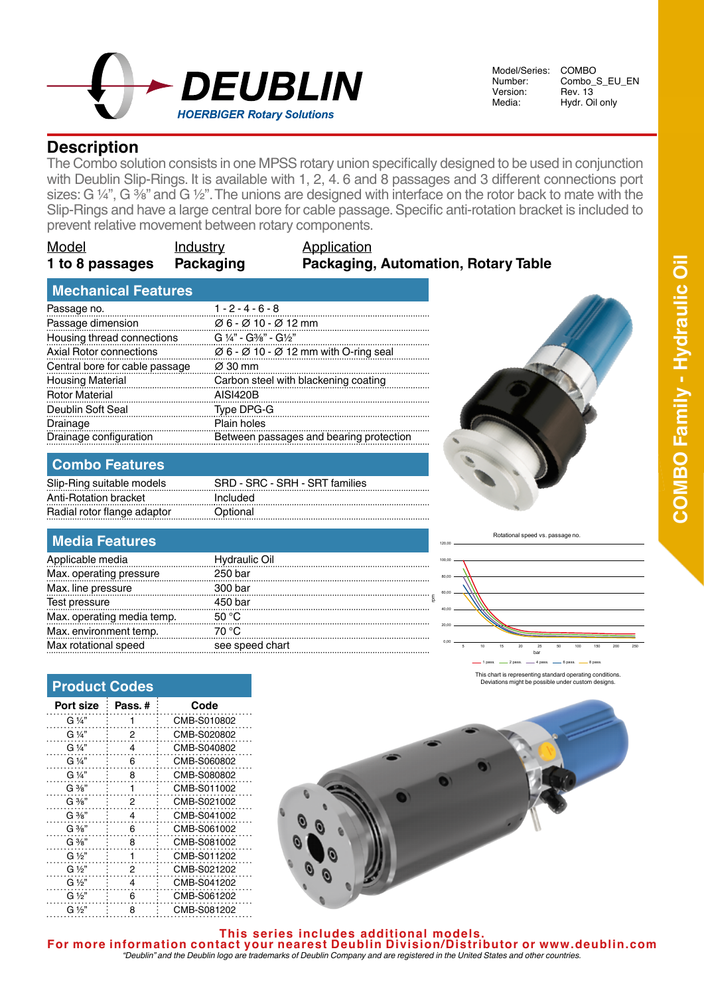

Model/Series: COMBO<br>Number: Combo : Number: Combo\_S\_EU\_EN<br>Version: Rev. 13 Version: Rev. 13<br>Media: Hydr. Oi

Hydr. Oil only

# **Description**

The Combo solution consists in one MPSS rotary union specifically designed to be used in conjunction with Deublin Slip-Rings. It is available with 1, 2, 4, 6 and 8 passages and 3 different connections port sizes: G  $\frac{1}{4}$ , G  $\frac{3}{8}$  and G  $\frac{1}{2}$ . The unions are designed with interface on the rotor back to mate with the Slip-Rings and have a large central bore for cable passage. Specific anti-rotation bracket is included to prevent relative movement between rotary components.

| <b>Model</b>    | Industry |
|-----------------|----------|
| 1 to 8 passages | Packagin |

#### **Application 1g 1 <b>Packaging, Automation, Rotary Table**

### **Mechanical Features**

| Passage no.                    | $1 - 2 - 4 - 6 - 8$                                                       |
|--------------------------------|---------------------------------------------------------------------------|
| Passage dimension              | $\varnothing$ 6 - $\varnothing$ 10 - $\varnothing$ 12 mm                  |
| Housing thread connections     | $G \frac{1}{4}$ " - $G\frac{3}{8}$ " - $G\frac{1}{2}$ "                   |
| <b>Axial Rotor connections</b> | $\varnothing$ 6 - $\varnothing$ 10 - $\varnothing$ 12 mm with O-ring seal |
| Central bore for cable passage | $\varnothing$ 30 mm                                                       |
| <b>Housing Material</b>        | Carbon steel with blackening coating                                      |
| <b>Rotor Material</b>          | <b>AISI420B</b>                                                           |
| Deublin Soft Seal              | Type DPG-G                                                                |
| Drainage                       | Plain holes                                                               |
| Drainage configuration         | Between passages and bearing protection                                   |

## **Combo Features**

| SRD - SRC - SRH - SRT families |
|--------------------------------|
| Included                       |
| Optional                       |
|                                |

## **Media Features**

| Applicable media           | <b>Hydraulic Oil</b> |
|----------------------------|----------------------|
| Max. operating pressure    | 250 bar              |
| Max. line pressure         | 300 bar              |
| Test pressure              | 450 bar              |
| Max. operating media temp. | 50 °C                |
| Max. environment temp.     | 70 °C                |
| Max rotational speed       | see speed chart      |

**Product Codes**

| Port size         | Pass.# | Code        |
|-------------------|--------|-------------|
| G ¼"              | 1      | CMB-S010802 |
| G 1/4"            | 2      | CMB-S020802 |
| G 1/4"            | 4      | CMB-S040802 |
| G 1/4"            | 6      | CMB-S060802 |
| G 1/4"            | 8      | CMB-S080802 |
| $G \frac{3}{8}$ " | 1      | CMB-S011002 |
| $G \frac{3}{8}$ " | 2      | CMB-S021002 |
| $G \frac{3}{8}$ " | 4      | CMB-S041002 |
| $G \frac{3}{8}$   | 6      | CMB-S061002 |
| $G \frac{3}{8}$   | 8      | CMB-S081002 |
| G 1/2"            | 1      | CMB-S011202 |
| G ½"              | 2      | CMB-S021202 |
| $G\frac{1}{2}$    | 4      | CMB-S041202 |
| $G\frac{1}{2}$    | 6      | CMB-S061202 |
| $G\frac{1}{2}$    | 8      | CMB-S081202 |



120,00

COMBO Family - Hydraulic Oil **COMBO Serie Family - Hydraulic Oil**

Rotational speed vs. passage no.



This chart is representing standard operating conditions. Deviations might be possible under custom designs.

**This series includes additional models. For more information contact your nearest Deublin Division/Distributor or www.deublin.com** *"Deublin" and the Deublin logo are trademarks of Deublin Company and are registered in the United States and other countries.*